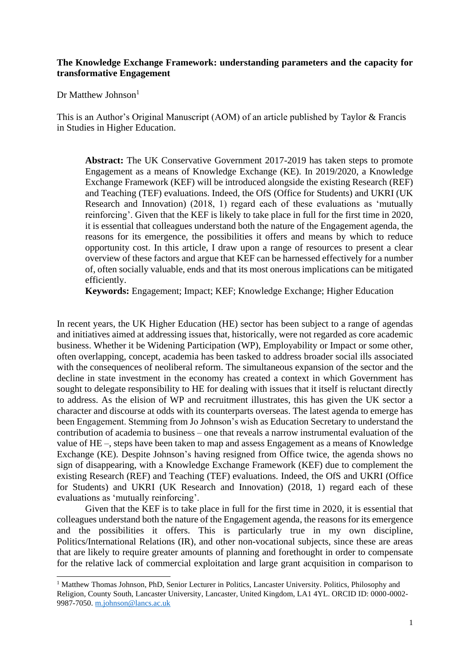# **The Knowledge Exchange Framework: understanding parameters and the capacity for transformative Engagement**

Dr Matthew Johnson $<sup>1</sup>$ </sup>

This is an Author's Original Manuscript (AOM) of an article published by Taylor & Francis in Studies in Higher Education.

**Abstract:** The UK Conservative Government 2017-2019 has taken steps to promote Engagement as a means of Knowledge Exchange (KE). In 2019/2020, a Knowledge Exchange Framework (KEF) will be introduced alongside the existing Research (REF) and Teaching (TEF) evaluations. Indeed, the OfS (Office for Students) and UKRI (UK Research and Innovation) (2018, 1) regard each of these evaluations as 'mutually reinforcing'. Given that the KEF is likely to take place in full for the first time in 2020, it is essential that colleagues understand both the nature of the Engagement agenda, the reasons for its emergence, the possibilities it offers and means by which to reduce opportunity cost. In this article, I draw upon a range of resources to present a clear overview of these factors and argue that KEF can be harnessed effectively for a number of, often socially valuable, ends and that its most onerous implications can be mitigated efficiently.

**Keywords:** Engagement; Impact; KEF; Knowledge Exchange; Higher Education

In recent years, the UK Higher Education (HE) sector has been subject to a range of agendas and initiatives aimed at addressing issues that, historically, were not regarded as core academic business. Whether it be Widening Participation (WP), Employability or Impact or some other, often overlapping, concept, academia has been tasked to address broader social ills associated with the consequences of neoliberal reform. The simultaneous expansion of the sector and the decline in state investment in the economy has created a context in which Government has sought to delegate responsibility to HE for dealing with issues that it itself is reluctant directly to address. As the elision of WP and recruitment illustrates, this has given the UK sector a character and discourse at odds with its counterparts overseas. The latest agenda to emerge has been Engagement. Stemming from Jo Johnson's wish as Education Secretary to understand the contribution of academia to business – one that reveals a narrow instrumental evaluation of the value of HE –, steps have been taken to map and assess Engagement as a means of Knowledge Exchange (KE). Despite Johnson's having resigned from Office twice, the agenda shows no sign of disappearing, with a Knowledge Exchange Framework (KEF) due to complement the existing Research (REF) and Teaching (TEF) evaluations. Indeed, the OfS and UKRI (Office for Students) and UKRI (UK Research and Innovation) (2018, 1) regard each of these evaluations as 'mutually reinforcing'.

Given that the KEF is to take place in full for the first time in 2020, it is essential that colleagues understand both the nature of the Engagement agenda, the reasons for its emergence and the possibilities it offers. This is particularly true in my own discipline, Politics/International Relations (IR), and other non-vocational subjects, since these are areas that are likely to require greater amounts of planning and forethought in order to compensate for the relative lack of commercial exploitation and large grant acquisition in comparison to

<sup>&</sup>lt;sup>1</sup> Matthew Thomas Johnson, PhD, Senior Lecturer in Politics, Lancaster University. Politics, Philosophy and Religion, County South, Lancaster University, Lancaster, United Kingdom, LA1 4YL. ORCID ID: 0000-0002- 9987-7050. [m.johnson@lancs.ac.uk](mailto:m.johnson@lancs.ac.uk)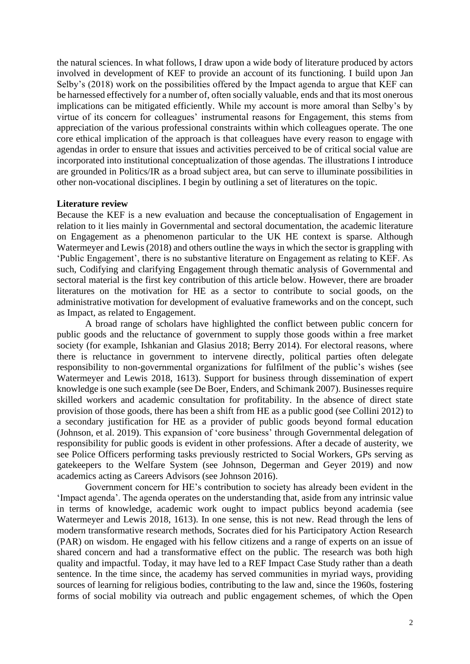the natural sciences. In what follows, I draw upon a wide body of literature produced by actors involved in development of KEF to provide an account of its functioning. I build upon Jan Selby's (2018) work on the possibilities offered by the Impact agenda to argue that KEF can be harnessed effectively for a number of, often socially valuable, ends and that its most onerous implications can be mitigated efficiently. While my account is more amoral than Selby's by virtue of its concern for colleagues' instrumental reasons for Engagement, this stems from appreciation of the various professional constraints within which colleagues operate. The one core ethical implication of the approach is that colleagues have every reason to engage with agendas in order to ensure that issues and activities perceived to be of critical social value are incorporated into institutional conceptualization of those agendas. The illustrations I introduce are grounded in Politics/IR as a broad subject area, but can serve to illuminate possibilities in other non-vocational disciplines. I begin by outlining a set of literatures on the topic.

## **Literature review**

Because the KEF is a new evaluation and because the conceptualisation of Engagement in relation to it lies mainly in Governmental and sectoral documentation, the academic literature on Engagement as a phenomenon particular to the UK HE context is sparse. Although Watermeyer and Lewis (2018) and others outline the ways in which the sector is grappling with 'Public Engagement', there is no substantive literature on Engagement as relating to KEF. As such, Codifying and clarifying Engagement through thematic analysis of Governmental and sectoral material is the first key contribution of this article below. However, there are broader literatures on the motivation for HE as a sector to contribute to social goods, on the administrative motivation for development of evaluative frameworks and on the concept, such as Impact, as related to Engagement.

A broad range of scholars have highlighted the conflict between public concern for public goods and the reluctance of government to supply those goods within a free market society (for example, Ishkanian and Glasius 2018; Berry 2014). For electoral reasons, where there is reluctance in government to intervene directly, political parties often delegate responsibility to non-governmental organizations for fulfilment of the public's wishes (see Watermeyer and Lewis 2018, 1613). Support for business through dissemination of expert knowledge is one such example (see De Boer, Enders, and Schimank 2007). Businesses require skilled workers and academic consultation for profitability. In the absence of direct state provision of those goods, there has been a shift from HE as a public good (see Collini 2012) to a secondary justification for HE as a provider of public goods beyond formal education (Johnson, et al. 2019). This expansion of 'core business' through Governmental delegation of responsibility for public goods is evident in other professions. After a decade of austerity, we see Police Officers performing tasks previously restricted to Social Workers, GPs serving as gatekeepers to the Welfare System (see Johnson, Degerman and Geyer 2019) and now academics acting as Careers Advisors (see Johnson 2016).

Government concern for HE's contribution to society has already been evident in the 'Impact agenda'. The agenda operates on the understanding that, aside from any intrinsic value in terms of knowledge, academic work ought to impact publics beyond academia (see Watermeyer and Lewis 2018, 1613). In one sense, this is not new. Read through the lens of modern transformative research methods, Socrates died for his Participatory Action Research (PAR) on wisdom. He engaged with his fellow citizens and a range of experts on an issue of shared concern and had a transformative effect on the public. The research was both high quality and impactful. Today, it may have led to a REF Impact Case Study rather than a death sentence. In the time since, the academy has served communities in myriad ways, providing sources of learning for religious bodies, contributing to the law and, since the 1960s, fostering forms of social mobility via outreach and public engagement schemes, of which the Open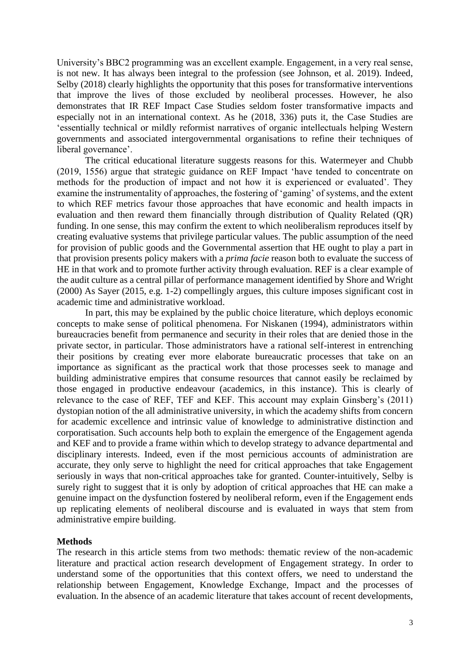University's BBC2 programming was an excellent example. Engagement, in a very real sense, is not new. It has always been integral to the profession (see Johnson, et al. 2019). Indeed, Selby (2018) clearly highlights the opportunity that this poses for transformative interventions that improve the lives of those excluded by neoliberal processes. However, he also demonstrates that IR REF Impact Case Studies seldom foster transformative impacts and especially not in an international context. As he (2018, 336) puts it, the Case Studies are 'essentially technical or mildly reformist narratives of organic intellectuals helping Western governments and associated intergovernmental organisations to refine their techniques of liberal governance'.

The critical educational literature suggests reasons for this. Watermeyer and Chubb (2019, 1556) argue that strategic guidance on REF Impact 'have tended to concentrate on methods for the production of impact and not how it is experienced or evaluated'. They examine the instrumentality of approaches, the fostering of 'gaming' of systems, and the extent to which REF metrics favour those approaches that have economic and health impacts in evaluation and then reward them financially through distribution of Quality Related (QR) funding. In one sense, this may confirm the extent to which neoliberalism reproduces itself by creating evaluative systems that privilege particular values. The public assumption of the need for provision of public goods and the Governmental assertion that HE ought to play a part in that provision presents policy makers with a *prima facie* reason both to evaluate the success of HE in that work and to promote further activity through evaluation. REF is a clear example of the audit culture as a central pillar of performance management identified by Shore and Wright (2000) As Sayer (2015, e.g. 1-2) compellingly argues, this culture imposes significant cost in academic time and administrative workload.

In part, this may be explained by the public choice literature, which deploys economic concepts to make sense of political phenomena. For Niskanen (1994), administrators within bureaucracies benefit from permanence and security in their roles that are denied those in the private sector, in particular. Those administrators have a rational self-interest in entrenching their positions by creating ever more elaborate bureaucratic processes that take on an importance as significant as the practical work that those processes seek to manage and building administrative empires that consume resources that cannot easily be reclaimed by those engaged in productive endeavour (academics, in this instance). This is clearly of relevance to the case of REF, TEF and KEF. This account may explain Ginsberg's (2011) dystopian notion of the all administrative university, in which the academy shifts from concern for academic excellence and intrinsic value of knowledge to administrative distinction and corporatisation. Such accounts help both to explain the emergence of the Engagement agenda and KEF and to provide a frame within which to develop strategy to advance departmental and disciplinary interests. Indeed, even if the most pernicious accounts of administration are accurate, they only serve to highlight the need for critical approaches that take Engagement seriously in ways that non-critical approaches take for granted. Counter-intuitively, Selby is surely right to suggest that it is only by adoption of critical approaches that HE can make a genuine impact on the dysfunction fostered by neoliberal reform, even if the Engagement ends up replicating elements of neoliberal discourse and is evaluated in ways that stem from administrative empire building.

# **Methods**

The research in this article stems from two methods: thematic review of the non-academic literature and practical action research development of Engagement strategy. In order to understand some of the opportunities that this context offers, we need to understand the relationship between Engagement, Knowledge Exchange, Impact and the processes of evaluation. In the absence of an academic literature that takes account of recent developments,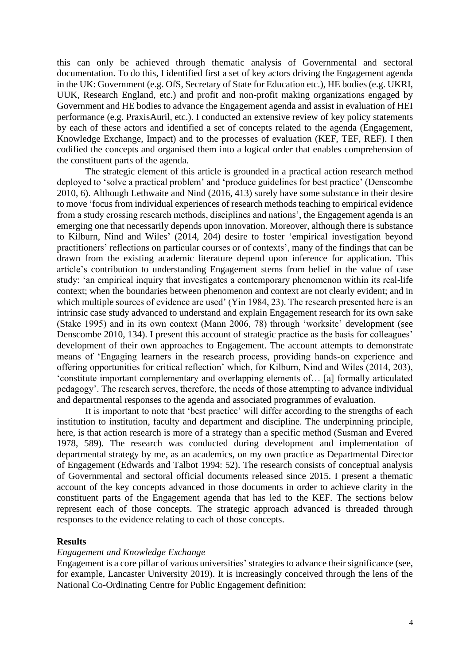this can only be achieved through thematic analysis of Governmental and sectoral documentation. To do this, I identified first a set of key actors driving the Engagement agenda in the UK: Government (e.g. OfS, Secretary of State for Education etc.), HE bodies (e.g. UKRI, UUK, Research England, etc.) and profit and non-profit making organizations engaged by Government and HE bodies to advance the Engagement agenda and assist in evaluation of HEI performance (e.g. PraxisAuril, etc.). I conducted an extensive review of key policy statements by each of these actors and identified a set of concepts related to the agenda (Engagement, Knowledge Exchange, Impact) and to the processes of evaluation (KEF, TEF, REF). I then codified the concepts and organised them into a logical order that enables comprehension of the constituent parts of the agenda.

The strategic element of this article is grounded in a practical action research method deployed to 'solve a practical problem' and 'produce guidelines for best practice' (Denscombe 2010, 6). Although Lethwaite and Nind (2016, 413) surely have some substance in their desire to move 'focus from individual experiences of research methods teaching to empirical evidence from a study crossing research methods, disciplines and nations', the Engagement agenda is an emerging one that necessarily depends upon innovation. Moreover, although there is substance to Kilburn, Nind and Wiles' (2014, 204) desire to foster 'empirical investigation beyond practitioners' reflections on particular courses or of contexts', many of the findings that can be drawn from the existing academic literature depend upon inference for application. This article's contribution to understanding Engagement stems from belief in the value of case study: 'an empirical inquiry that investigates a contemporary phenomenon within its real-life context; when the boundaries between phenomenon and context are not clearly evident; and in which multiple sources of evidence are used' (Yin 1984, 23). The research presented here is an intrinsic case study advanced to understand and explain Engagement research for its own sake (Stake 1995) and in its own context (Mann 2006, 78) through 'worksite' development (see Denscombe 2010, 134). I present this account of strategic practice as the basis for colleagues' development of their own approaches to Engagement. The account attempts to demonstrate means of 'Engaging learners in the research process, providing hands-on experience and offering opportunities for critical reflection' which, for Kilburn, Nind and Wiles (2014, 203), 'constitute important complementary and overlapping elements of… [a] formally articulated pedagogy'. The research serves, therefore, the needs of those attempting to advance individual and departmental responses to the agenda and associated programmes of evaluation.

It is important to note that 'best practice' will differ according to the strengths of each institution to institution, faculty and department and discipline. The underpinning principle, here, is that action research is more of a strategy than a specific method (Susman and Evered 1978, 589). The research was conducted during development and implementation of departmental strategy by me, as an academics, on my own practice as Departmental Director of Engagement (Edwards and Talbot 1994: 52). The research consists of conceptual analysis of Governmental and sectoral official documents released since 2015. I present a thematic account of the key concepts advanced in those documents in order to achieve clarity in the constituent parts of the Engagement agenda that has led to the KEF. The sections below represent each of those concepts. The strategic approach advanced is threaded through responses to the evidence relating to each of those concepts.

# **Results**

# *Engagement and Knowledge Exchange*

Engagement is a core pillar of various universities' strategies to advance their significance (see, for example, Lancaster University 2019). It is increasingly conceived through the lens of the National Co-Ordinating Centre for Public Engagement definition: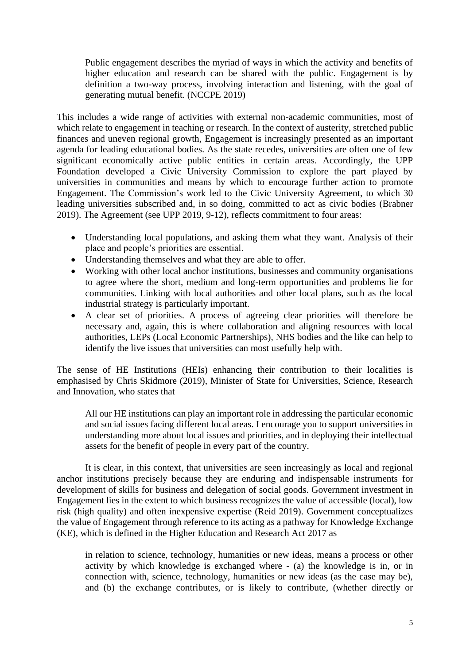Public engagement describes the myriad of ways in which the activity and benefits of higher education and research can be shared with the public. Engagement is by definition a two-way process, involving interaction and listening, with the goal of generating mutual benefit. (NCCPE 2019)

This includes a wide range of activities with external non-academic communities, most of which relate to engagement in teaching or research. In the context of austerity, stretched public finances and uneven regional growth, Engagement is increasingly presented as an important agenda for leading educational bodies. As the state recedes, universities are often one of few significant economically active public entities in certain areas. Accordingly, the UPP Foundation developed a Civic University Commission to explore the part played by universities in communities and means by which to encourage further action to promote Engagement. The Commission's work led to the Civic University Agreement, to which 30 leading universities subscribed and, in so doing, committed to act as civic bodies (Brabner 2019). The Agreement (see UPP 2019, 9-12), reflects commitment to four areas:

- Understanding local populations, and asking them what they want. Analysis of their place and people's priorities are essential.
- Understanding themselves and what they are able to offer.
- Working with other local anchor institutions, businesses and community organisations to agree where the short, medium and long-term opportunities and problems lie for communities. Linking with local authorities and other local plans, such as the local industrial strategy is particularly important.
- A clear set of priorities. A process of agreeing clear priorities will therefore be necessary and, again, this is where collaboration and aligning resources with local authorities, LEPs (Local Economic Partnerships), NHS bodies and the like can help to identify the live issues that universities can most usefully help with.

The sense of HE Institutions (HEIs) enhancing their contribution to their localities is emphasised by Chris Skidmore (2019), Minister of State for Universities, Science, Research and Innovation, who states that

All our HE institutions can play an important role in addressing the particular economic and social issues facing different local areas. I encourage you to support universities in understanding more about local issues and priorities, and in deploying their intellectual assets for the benefit of people in every part of the country.

It is clear, in this context, that universities are seen increasingly as local and regional anchor institutions precisely because they are enduring and indispensable instruments for development of skills for business and delegation of social goods. Government investment in Engagement lies in the extent to which business recognizes the value of accessible (local), low risk (high quality) and often inexpensive expertise (Reid 2019). Government conceptualizes the value of Engagement through reference to its acting as a pathway for Knowledge Exchange (KE), which is defined in the Higher Education and Research Act 2017 as

in relation to science, technology, humanities or new ideas, means a process or other activity by which knowledge is exchanged where - (a) the knowledge is in, or in connection with, science, technology, humanities or new ideas (as the case may be), and (b) the exchange contributes, or is likely to contribute, (whether directly or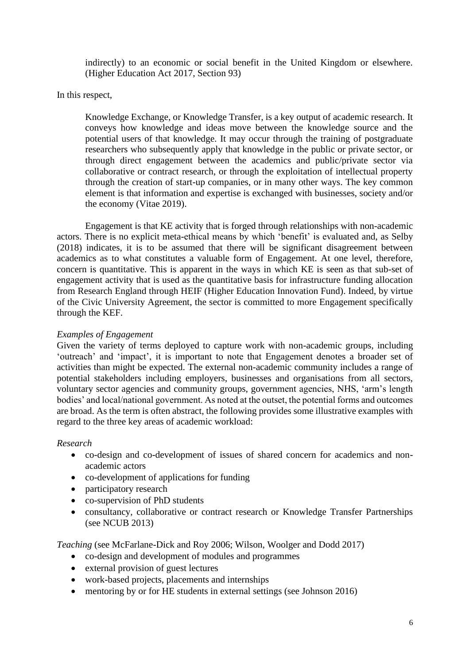indirectly) to an economic or social benefit in the United Kingdom or elsewhere. (Higher Education Act 2017, Section 93)

In this respect,

Knowledge Exchange, or Knowledge Transfer, is a key output of academic research. It conveys how knowledge and ideas move between the knowledge source and the potential users of that knowledge. It may occur through the training of postgraduate researchers who subsequently apply that knowledge in the public or private sector, or through direct engagement between the academics and public/private sector via collaborative or contract research, or through the exploitation of intellectual property through the creation of start-up companies, or in many other ways. The key common element is that information and expertise is exchanged with businesses, society and/or the economy (Vitae 2019).

Engagement is that KE activity that is forged through relationships with non-academic actors. There is no explicit meta-ethical means by which 'benefit' is evaluated and, as Selby (2018) indicates, it is to be assumed that there will be significant disagreement between academics as to what constitutes a valuable form of Engagement. At one level, therefore, concern is quantitative. This is apparent in the ways in which KE is seen as that sub-set of engagement activity that is used as the quantitative basis for infrastructure funding allocation from Research England through HEIF (Higher Education Innovation Fund). Indeed, by virtue of the Civic University Agreement, the sector is committed to more Engagement specifically through the KEF.

# *Examples of Engagement*

Given the variety of terms deployed to capture work with non-academic groups, including 'outreach' and 'impact', it is important to note that Engagement denotes a broader set of activities than might be expected. The external non-academic community includes a range of potential stakeholders including employers, businesses and organisations from all sectors, voluntary sector agencies and community groups, government agencies, NHS, 'arm's length bodies' and local/national government. As noted at the outset, the potential forms and outcomes are broad. As the term is often abstract, the following provides some illustrative examples with regard to the three key areas of academic workload:

# *Research*

- co-design and co-development of issues of shared concern for academics and nonacademic actors
- co-development of applications for funding
- participatory research
- co-supervision of PhD students
- consultancy, collaborative or contract research or Knowledge Transfer Partnerships (see NCUB 2013)

*Teaching* (see McFarlane-Dick and Roy 2006; Wilson, Woolger and Dodd 2017)

- co-design and development of modules and programmes
- external provision of guest lectures
- work-based projects, placements and internships
- mentoring by or for HE students in external settings (see Johnson 2016)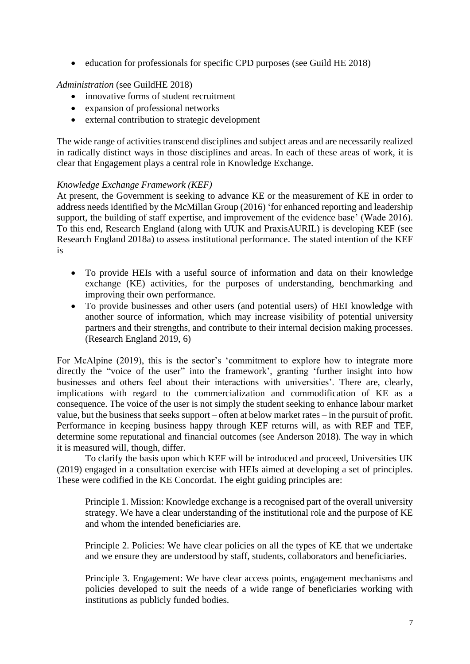• education for professionals for specific CPD purposes (see Guild HE 2018)

*Administration* (see GuildHE 2018)

- innovative forms of student recruitment
- expansion of professional networks
- external contribution to strategic development

The wide range of activities transcend disciplines and subject areas and are necessarily realized in radically distinct ways in those disciplines and areas. In each of these areas of work, it is clear that Engagement plays a central role in Knowledge Exchange.

# *Knowledge Exchange Framework (KEF)*

At present, the Government is seeking to advance KE or the measurement of KE in order to address needs identified by the McMillan Group (2016) 'for enhanced reporting and leadership support, the building of staff expertise, and improvement of the evidence base' (Wade 2016). To this end, Research England (along with UUK and PraxisAURIL) is developing KEF (see Research England 2018a) to assess institutional performance. The stated intention of the KEF is

- To provide HEIs with a useful source of information and data on their knowledge exchange (KE) activities, for the purposes of understanding, benchmarking and improving their own performance.
- To provide businesses and other users (and potential users) of HEI knowledge with another source of information, which may increase visibility of potential university partners and their strengths, and contribute to their internal decision making processes. (Research England 2019, 6)

For McAlpine (2019), this is the sector's 'commitment to explore how to integrate more directly the "voice of the user" into the framework', granting 'further insight into how businesses and others feel about their interactions with universities'. There are, clearly, implications with regard to the commercialization and commodification of KE as a consequence. The voice of the user is not simply the student seeking to enhance labour market value, but the business that seeks support – often at below market rates – in the pursuit of profit. Performance in keeping business happy through KEF returns will, as with REF and TEF, determine some reputational and financial outcomes (see Anderson 2018). The way in which it is measured will, though, differ.

To clarify the basis upon which KEF will be introduced and proceed, Universities UK (2019) engaged in a consultation exercise with HEIs aimed at developing a set of principles. These were codified in the KE Concordat. The eight guiding principles are:

Principle 1. Mission: Knowledge exchange is a recognised part of the overall university strategy. We have a clear understanding of the institutional role and the purpose of KE and whom the intended beneficiaries are.

Principle 2. Policies: We have clear policies on all the types of KE that we undertake and we ensure they are understood by staff, students, collaborators and beneficiaries.

Principle 3. Engagement: We have clear access points, engagement mechanisms and policies developed to suit the needs of a wide range of beneficiaries working with institutions as publicly funded bodies.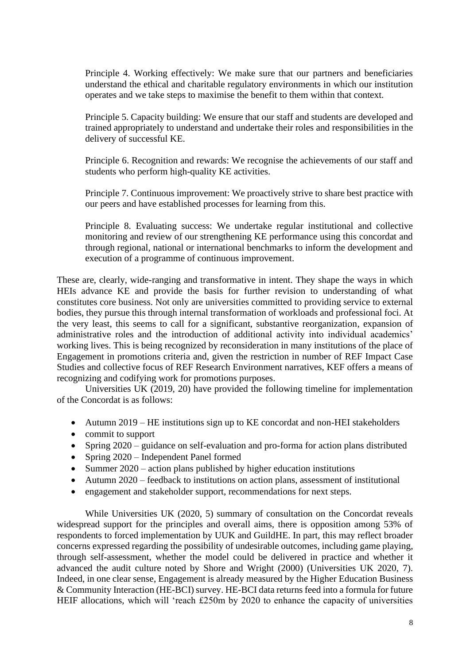Principle 4. Working effectively: We make sure that our partners and beneficiaries understand the ethical and charitable regulatory environments in which our institution operates and we take steps to maximise the benefit to them within that context.

Principle 5. Capacity building: We ensure that our staff and students are developed and trained appropriately to understand and undertake their roles and responsibilities in the delivery of successful KE.

Principle 6. Recognition and rewards: We recognise the achievements of our staff and students who perform high-quality KE activities.

Principle 7. Continuous improvement: We proactively strive to share best practice with our peers and have established processes for learning from this.

Principle 8. Evaluating success: We undertake regular institutional and collective monitoring and review of our strengthening KE performance using this concordat and through regional, national or international benchmarks to inform the development and execution of a programme of continuous improvement.

These are, clearly, wide-ranging and transformative in intent. They shape the ways in which HEIs advance KE and provide the basis for further revision to understanding of what constitutes core business. Not only are universities committed to providing service to external bodies, they pursue this through internal transformation of workloads and professional foci. At the very least, this seems to call for a significant, substantive reorganization, expansion of administrative roles and the introduction of additional activity into individual academics' working lives. This is being recognized by reconsideration in many institutions of the place of Engagement in promotions criteria and, given the restriction in number of REF Impact Case Studies and collective focus of REF Research Environment narratives, KEF offers a means of recognizing and codifying work for promotions purposes.

Universities UK (2019, 20) have provided the following timeline for implementation of the Concordat is as follows:

- Autumn 2019 HE institutions sign up to KE concordat and non-HEI stakeholders
- commit to support
- Spring 2020 guidance on self-evaluation and pro-forma for action plans distributed
- Spring 2020 Independent Panel formed
- Summer 2020 action plans published by higher education institutions
- Autumn 2020 feedback to institutions on action plans, assessment of institutional
- engagement and stakeholder support, recommendations for next steps.

While Universities UK (2020, 5) summary of consultation on the Concordat reveals widespread support for the principles and overall aims, there is opposition among 53% of respondents to forced implementation by UUK and GuildHE. In part, this may reflect broader concerns expressed regarding the possibility of undesirable outcomes, including game playing, through self-assessment, whether the model could be delivered in practice and whether it advanced the audit culture noted by Shore and Wright (2000) (Universities UK 2020, 7). Indeed, in one clear sense, Engagement is already measured by the Higher Education Business & Community Interaction (HE-BCI) survey. HE-BCI data returns feed into a formula for future HEIF allocations, which will 'reach £250m by 2020 to enhance the capacity of universities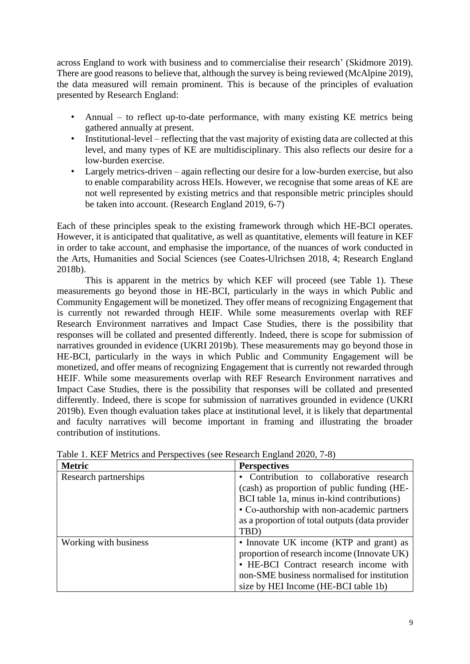across England to work with business and to commercialise their research' (Skidmore 2019). There are good reasons to believe that, although the survey is being reviewed (McAlpine 2019), the data measured will remain prominent. This is because of the principles of evaluation presented by Research England:

- Annual to reflect up-to-date performance, with many existing KE metrics being gathered annually at present.
- Institutional-level reflecting that the vast majority of existing data are collected at this level, and many types of KE are multidisciplinary. This also reflects our desire for a low-burden exercise.
- Largely metrics-driven again reflecting our desire for a low-burden exercise, but also to enable comparability across HEIs. However, we recognise that some areas of KE are not well represented by existing metrics and that responsible metric principles should be taken into account. (Research England 2019, 6-7)

Each of these principles speak to the existing framework through which HE-BCI operates. However, it is anticipated that qualitative, as well as quantitative, elements will feature in KEF in order to take account, and emphasise the importance, of the nuances of work conducted in the Arts, Humanities and Social Sciences (see Coates-Ulrichsen 2018, 4; Research England 2018b).

This is apparent in the metrics by which KEF will proceed (see Table 1). These measurements go beyond those in HE-BCI, particularly in the ways in which Public and Community Engagement will be monetized. They offer means of recognizing Engagement that is currently not rewarded through HEIF. While some measurements overlap with REF Research Environment narratives and Impact Case Studies, there is the possibility that responses will be collated and presented differently. Indeed, there is scope for submission of narratives grounded in evidence (UKRI 2019b). These measurements may go beyond those in HE-BCI, particularly in the ways in which Public and Community Engagement will be monetized, and offer means of recognizing Engagement that is currently not rewarded through HEIF. While some measurements overlap with REF Research Environment narratives and Impact Case Studies, there is the possibility that responses will be collated and presented differently. Indeed, there is scope for submission of narratives grounded in evidence (UKRI 2019b). Even though evaluation takes place at institutional level, it is likely that departmental and faculty narratives will become important in framing and illustrating the broader contribution of institutions.

| <b>Metric</b>         | <b>Perspectives</b>                                                                                                                                                                                                     |
|-----------------------|-------------------------------------------------------------------------------------------------------------------------------------------------------------------------------------------------------------------------|
| Research partnerships | • Contribution to collaborative research<br>(cash) as proportion of public funding (HE-<br>BCI table 1a, minus in-kind contributions)                                                                                   |
|                       | • Co-authorship with non-academic partners<br>as a proportion of total outputs (data provider<br>TBD)                                                                                                                   |
| Working with business | • Innovate UK income (KTP and grant) as<br>proportion of research income (Innovate UK)<br>• HE-BCI Contract research income with<br>non-SME business normalised for institution<br>size by HEI Income (HE-BCI table 1b) |

Table 1. KEF Metrics and Perspectives (see Research England 2020, 7-8)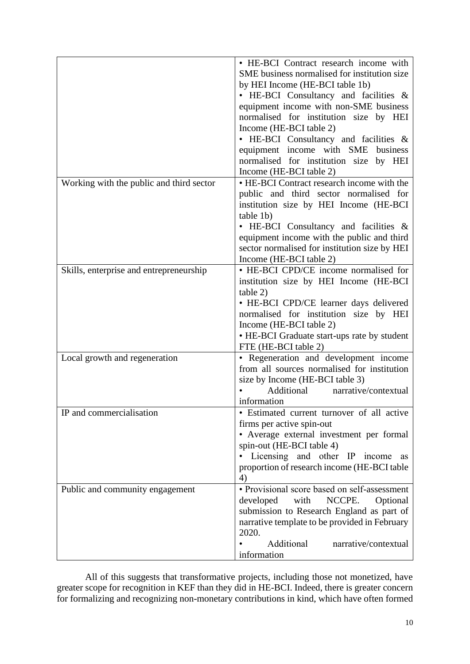|                                          | • HE-BCI Contract research income with        |
|------------------------------------------|-----------------------------------------------|
|                                          | SME business normalised for institution size  |
|                                          | by HEI Income (HE-BCI table 1b)               |
|                                          | • HE-BCI Consultancy and facilities &         |
|                                          | equipment income with non-SME business        |
|                                          |                                               |
|                                          | normalised for institution size by HEI        |
|                                          | Income (HE-BCI table 2)                       |
|                                          | • HE-BCI Consultancy and facilities &         |
|                                          | equipment income with SME business            |
|                                          | normalised for institution size by HEI        |
|                                          | Income (HE-BCI table 2)                       |
| Working with the public and third sector | • HE-BCI Contract research income with the    |
|                                          | public and third sector normalised for        |
|                                          | institution size by HEI Income (HE-BCI        |
|                                          | table 1b)                                     |
|                                          | • HE-BCI Consultancy and facilities &         |
|                                          |                                               |
|                                          | equipment income with the public and third    |
|                                          | sector normalised for institution size by HEI |
|                                          | Income (HE-BCI table 2)                       |
| Skills, enterprise and entrepreneurship  | • HE-BCI CPD/CE income normalised for         |
|                                          | institution size by HEI Income (HE-BCI        |
|                                          | table 2)                                      |
|                                          | • HE-BCI CPD/CE learner days delivered        |
|                                          | normalised for institution size by HEI        |
|                                          | Income (HE-BCI table 2)                       |
|                                          | • HE-BCI Graduate start-ups rate by student   |
|                                          | FTE (HE-BCI table 2)                          |
| Local growth and regeneration            | · Regeneration and development income         |
|                                          | from all sources normalised for institution   |
|                                          |                                               |
|                                          | size by Income (HE-BCI table 3)<br>Additional |
|                                          | narrative/contextual                          |
|                                          | information                                   |
| IP and commercialisation                 | · Estimated current turnover of all active    |
|                                          | firms per active spin-out                     |
|                                          | • Average external investment per formal      |
|                                          | spin-out (HE-BCI table 4)                     |
|                                          | Licensing and other IP income as              |
|                                          | proportion of research income (HE-BCI table   |
|                                          | 4)                                            |
| Public and community engagement          | • Provisional score based on self-assessment  |
|                                          | developed<br>NCCPE.<br>with<br>Optional       |
|                                          | submission to Research England as part of     |
|                                          | narrative template to be provided in February |
|                                          | 2020.                                         |
|                                          | Additional<br>narrative/contextual            |
|                                          |                                               |
|                                          | information                                   |

All of this suggests that transformative projects, including those not monetized, have greater scope for recognition in KEF than they did in HE-BCI. Indeed, there is greater concern for formalizing and recognizing non-monetary contributions in kind, which have often formed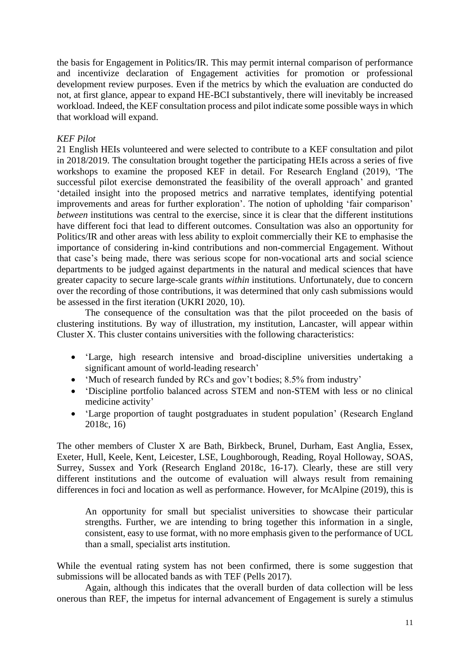the basis for Engagement in Politics/IR. This may permit internal comparison of performance and incentivize declaration of Engagement activities for promotion or professional development review purposes. Even if the metrics by which the evaluation are conducted do not, at first glance, appear to expand HE-BCI substantively, there will inevitably be increased workload. Indeed, the KEF consultation process and pilot indicate some possible ways in which that workload will expand.

# *KEF Pilot*

21 English HEIs volunteered and were selected to contribute to a KEF consultation and pilot in 2018/2019. The consultation brought together the participating HEIs across a series of five workshops to examine the proposed KEF in detail. For Research England (2019), 'The successful pilot exercise demonstrated the feasibility of the overall approach' and granted 'detailed insight into the proposed metrics and narrative templates, identifying potential improvements and areas for further exploration'. The notion of upholding 'fair comparison' *between* institutions was central to the exercise, since it is clear that the different institutions have different foci that lead to different outcomes. Consultation was also an opportunity for Politics/IR and other areas with less ability to exploit commercially their KE to emphasise the importance of considering in-kind contributions and non-commercial Engagement. Without that case's being made, there was serious scope for non-vocational arts and social science departments to be judged against departments in the natural and medical sciences that have greater capacity to secure large-scale grants *within* institutions. Unfortunately, due to concern over the recording of those contributions, it was determined that only cash submissions would be assessed in the first iteration (UKRI 2020, 10).

The consequence of the consultation was that the pilot proceeded on the basis of clustering institutions. By way of illustration, my institution, Lancaster, will appear within Cluster X. This cluster contains universities with the following characteristics:

- 'Large, high research intensive and broad-discipline universities undertaking a significant amount of world-leading research'
- 'Much of research funded by RCs and gov't bodies; 8.5% from industry'
- 'Discipline portfolio balanced across STEM and non-STEM with less or no clinical medicine activity'
- 'Large proportion of taught postgraduates in student population' (Research England 2018c, 16)

The other members of Cluster X are Bath, Birkbeck, Brunel, Durham, East Anglia, Essex, Exeter, Hull, Keele, Kent, Leicester, LSE, Loughborough, Reading, Royal Holloway, SOAS, Surrey, Sussex and York (Research England 2018c, 16-17). Clearly, these are still very different institutions and the outcome of evaluation will always result from remaining differences in foci and location as well as performance. However, for McAlpine (2019), this is

An opportunity for small but specialist universities to showcase their particular strengths. Further, we are intending to bring together this information in a single, consistent, easy to use format, with no more emphasis given to the performance of UCL than a small, specialist arts institution.

While the eventual rating system has not been confirmed, there is some suggestion that submissions will be allocated bands as with TEF (Pells 2017).

Again, although this indicates that the overall burden of data collection will be less onerous than REF, the impetus for internal advancement of Engagement is surely a stimulus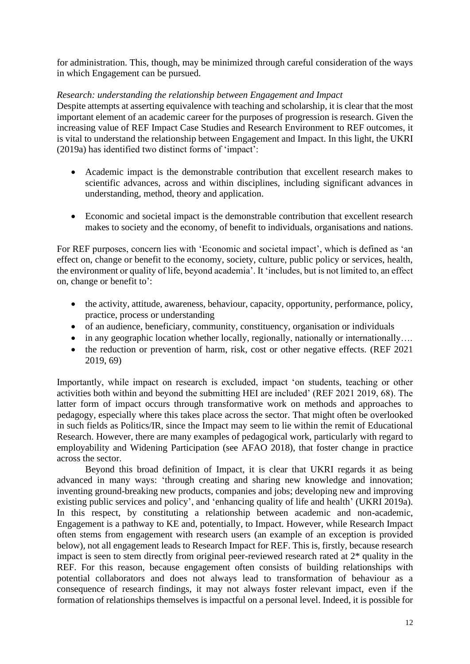for administration. This, though, may be minimized through careful consideration of the ways in which Engagement can be pursued.

# *Research: understanding the relationship between Engagement and Impact*

Despite attempts at asserting equivalence with teaching and scholarship, it is clear that the most important element of an academic career for the purposes of progression is research. Given the increasing value of REF Impact Case Studies and Research Environment to REF outcomes, it is vital to understand the relationship between Engagement and Impact. In this light, the UKRI (2019a) has identified two distinct forms of 'impact':

- Academic impact is the demonstrable contribution that excellent research makes to scientific advances, across and within disciplines, including significant advances in understanding, method, theory and application.
- Economic and societal impact is the demonstrable contribution that excellent research makes to society and the economy, of benefit to individuals, organisations and nations.

For REF purposes, concern lies with 'Economic and societal impact', which is defined as 'an effect on, change or benefit to the economy, society, culture, public policy or services, health, the environment or quality of life, beyond academia'. It 'includes, but is not limited to, an effect on, change or benefit to':

- the activity, attitude, awareness, behaviour, capacity, opportunity, performance, policy, practice, process or understanding
- of an audience, beneficiary, community, constituency, organisation or individuals
- in any geographic location whether locally, regionally, nationally or internationally....
- the reduction or prevention of harm, risk, cost or other negative effects. (REF 2021) 2019, 69)

Importantly, while impact on research is excluded, impact 'on students, teaching or other activities both within and beyond the submitting HEI are included' (REF 2021 2019, 68). The latter form of impact occurs through transformative work on methods and approaches to pedagogy, especially where this takes place across the sector. That might often be overlooked in such fields as Politics/IR, since the Impact may seem to lie within the remit of Educational Research. However, there are many examples of pedagogical work, particularly with regard to employability and Widening Participation (see AFAO 2018), that foster change in practice across the sector.

Beyond this broad definition of Impact, it is clear that UKRI regards it as being advanced in many ways: 'through creating and sharing new knowledge and innovation; inventing ground-breaking new products, companies and jobs; developing new and improving existing public services and policy', and 'enhancing quality of life and health' (UKRI 2019a). In this respect, by constituting a relationship between academic and non-academic, Engagement is a pathway to KE and, potentially, to Impact. However, while Research Impact often stems from engagement with research users (an example of an exception is provided below), not all engagement leads to Research Impact for REF. This is, firstly, because research impact is seen to stem directly from original peer-reviewed research rated at 2\* quality in the REF. For this reason, because engagement often consists of building relationships with potential collaborators and does not always lead to transformation of behaviour as a consequence of research findings, it may not always foster relevant impact, even if the formation of relationships themselves is impactful on a personal level. Indeed, it is possible for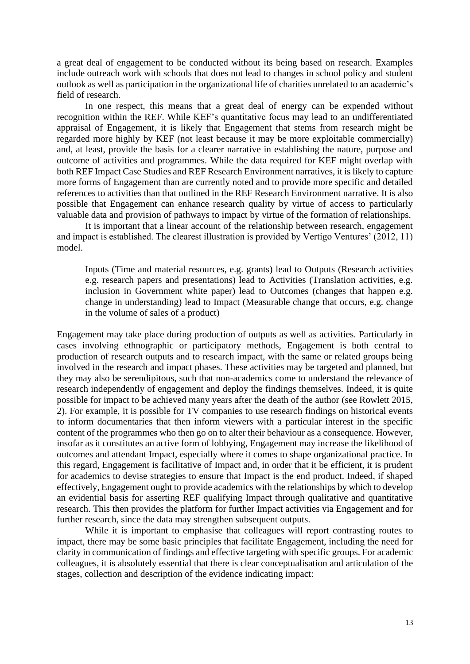a great deal of engagement to be conducted without its being based on research. Examples include outreach work with schools that does not lead to changes in school policy and student outlook as well as participation in the organizational life of charities unrelated to an academic's field of research.

In one respect, this means that a great deal of energy can be expended without recognition within the REF. While KEF's quantitative focus may lead to an undifferentiated appraisal of Engagement, it is likely that Engagement that stems from research might be regarded more highly by KEF (not least because it may be more exploitable commercially) and, at least, provide the basis for a clearer narrative in establishing the nature, purpose and outcome of activities and programmes. While the data required for KEF might overlap with both REF Impact Case Studies and REF Research Environment narratives, it is likely to capture more forms of Engagement than are currently noted and to provide more specific and detailed references to activities than that outlined in the REF Research Environment narrative. It is also possible that Engagement can enhance research quality by virtue of access to particularly valuable data and provision of pathways to impact by virtue of the formation of relationships.

It is important that a linear account of the relationship between research, engagement and impact is established. The clearest illustration is provided by Vertigo Ventures' (2012, 11) model.

Inputs (Time and material resources, e.g. grants) lead to Outputs (Research activities e.g. research papers and presentations) lead to Activities (Translation activities, e.g. inclusion in Government white paper) lead to Outcomes (changes that happen e.g. change in understanding) lead to Impact (Measurable change that occurs, e.g. change in the volume of sales of a product)

Engagement may take place during production of outputs as well as activities. Particularly in cases involving ethnographic or participatory methods, Engagement is both central to production of research outputs and to research impact, with the same or related groups being involved in the research and impact phases. These activities may be targeted and planned, but they may also be serendipitous, such that non-academics come to understand the relevance of research independently of engagement and deploy the findings themselves. Indeed, it is quite possible for impact to be achieved many years after the death of the author (see Rowlett 2015, 2). For example, it is possible for TV companies to use research findings on historical events to inform documentaries that then inform viewers with a particular interest in the specific content of the programmes who then go on to alter their behaviour as a consequence. However, insofar as it constitutes an active form of lobbying, Engagement may increase the likelihood of outcomes and attendant Impact, especially where it comes to shape organizational practice. In this regard, Engagement is facilitative of Impact and, in order that it be efficient, it is prudent for academics to devise strategies to ensure that Impact is the end product. Indeed, if shaped effectively, Engagement ought to provide academics with the relationships by which to develop an evidential basis for asserting REF qualifying Impact through qualitative and quantitative research. This then provides the platform for further Impact activities via Engagement and for further research, since the data may strengthen subsequent outputs.

While it is important to emphasise that colleagues will report contrasting routes to impact, there may be some basic principles that facilitate Engagement, including the need for clarity in communication of findings and effective targeting with specific groups. For academic colleagues, it is absolutely essential that there is clear conceptualisation and articulation of the stages, collection and description of the evidence indicating impact: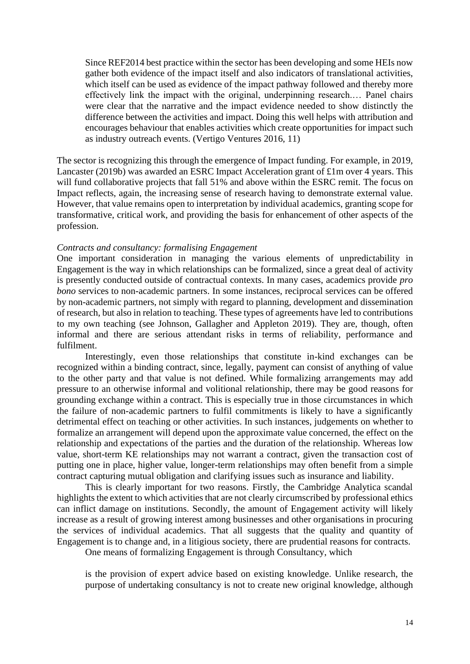Since REF2014 best practice within the sector has been developing and some HEIs now gather both evidence of the impact itself and also indicators of translational activities, which itself can be used as evidence of the impact pathway followed and thereby more effectively link the impact with the original, underpinning research.… Panel chairs were clear that the narrative and the impact evidence needed to show distinctly the difference between the activities and impact. Doing this well helps with attribution and encourages behaviour that enables activities which create opportunities for impact such as industry outreach events. (Vertigo Ventures 2016, 11)

The sector is recognizing this through the emergence of Impact funding. For example, in 2019, Lancaster (2019b) was awarded an ESRC Impact Acceleration grant of £1m over 4 years. This will fund collaborative projects that fall 51% and above within the ESRC remit. The focus on Impact reflects, again, the increasing sense of research having to demonstrate external value. However, that value remains open to interpretation by individual academics, granting scope for transformative, critical work, and providing the basis for enhancement of other aspects of the profession.

# *Contracts and consultancy: formalising Engagement*

One important consideration in managing the various elements of unpredictability in Engagement is the way in which relationships can be formalized, since a great deal of activity is presently conducted outside of contractual contexts. In many cases, academics provide *pro bono* services to non-academic partners. In some instances, reciprocal services can be offered by non-academic partners, not simply with regard to planning, development and dissemination of research, but also in relation to teaching. These types of agreements have led to contributions to my own teaching (see Johnson, Gallagher and Appleton 2019). They are, though, often informal and there are serious attendant risks in terms of reliability, performance and fulfilment.

Interestingly, even those relationships that constitute in-kind exchanges can be recognized within a binding contract, since, legally, payment can consist of anything of value to the other party and that value is not defined. While formalizing arrangements may add pressure to an otherwise informal and volitional relationship, there may be good reasons for grounding exchange within a contract. This is especially true in those circumstances in which the failure of non-academic partners to fulfil commitments is likely to have a significantly detrimental effect on teaching or other activities. In such instances, judgements on whether to formalize an arrangement will depend upon the approximate value concerned, the effect on the relationship and expectations of the parties and the duration of the relationship. Whereas low value, short-term KE relationships may not warrant a contract, given the transaction cost of putting one in place, higher value, longer-term relationships may often benefit from a simple contract capturing mutual obligation and clarifying issues such as insurance and liability.

This is clearly important for two reasons. Firstly, the Cambridge Analytica scandal highlights the extent to which activities that are not clearly circumscribed by professional ethics can inflict damage on institutions. Secondly, the amount of Engagement activity will likely increase as a result of growing interest among businesses and other organisations in procuring the services of individual academics. That all suggests that the quality and quantity of Engagement is to change and, in a litigious society, there are prudential reasons for contracts.

One means of formalizing Engagement is through Consultancy, which

is the provision of expert advice based on existing knowledge. Unlike research, the purpose of undertaking consultancy is not to create new original knowledge, although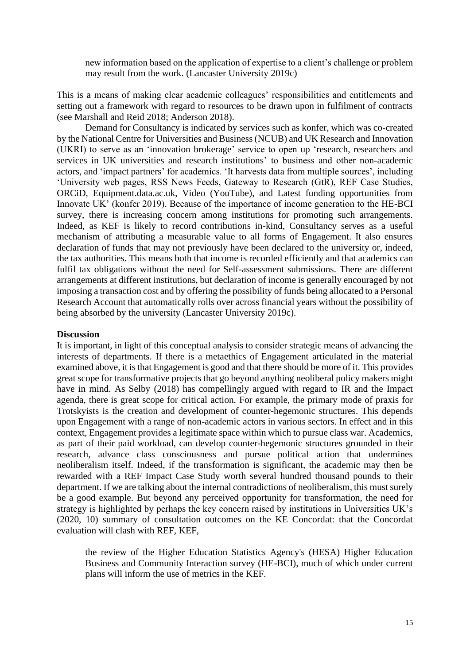new information based on the application of expertise to a client's challenge or problem may result from the work. (Lancaster University 2019c)

This is a means of making clear academic colleagues' responsibilities and entitlements and setting out a framework with regard to resources to be drawn upon in fulfilment of contracts (see Marshall and Reid 2018; Anderson 2018).

Demand for Consultancy is indicated by services such as konfer, which was co-created by the National Centre for Universities and Business (NCUB) and UK Research and Innovation (UKRI) to serve as an 'innovation brokerage' service to open up 'research, researchers and services in UK universities and research institutions' to business and other non-academic actors, and 'impact partners' for academics. 'It harvests data from multiple sources', including 'University web pages, RSS News Feeds, Gateway to Research (GtR), REF Case Studies, ORCiD, Equipment.data.ac.uk, Video (YouTube), and Latest funding opportunities from Innovate UK' (konfer 2019). Because of the importance of income generation to the HE-BCI survey, there is increasing concern among institutions for promoting such arrangements. Indeed, as KEF is likely to record contributions in-kind, Consultancy serves as a useful mechanism of attributing a measurable value to all forms of Engagement. It also ensures declaration of funds that may not previously have been declared to the university or, indeed, the tax authorities. This means both that income is recorded efficiently and that academics can fulfil tax obligations without the need for Self-assessment submissions. There are different arrangements at different institutions, but declaration of income is generally encouraged by not imposing a transaction cost and by offering the possibility of funds being allocated to a Personal Research Account that automatically rolls over across financial years without the possibility of being absorbed by the university (Lancaster University 2019c).

# **Discussion**

It is important, in light of this conceptual analysis to consider strategic means of advancing the interests of departments. If there is a metaethics of Engagement articulated in the material examined above, it is that Engagement is good and that there should be more of it. This provides great scope for transformative projects that go beyond anything neoliberal policy makers might have in mind. As Selby (2018) has compellingly argued with regard to IR and the Impact agenda, there is great scope for critical action. For example, the primary mode of praxis for Trotskyists is the creation and development of counter-hegemonic structures. This depends upon Engagement with a range of non-academic actors in various sectors. In effect and in this context, Engagement provides a legitimate space within which to pursue class war. Academics, as part of their paid workload, can develop counter-hegemonic structures grounded in their research, advance class consciousness and pursue political action that undermines neoliberalism itself. Indeed, if the transformation is significant, the academic may then be rewarded with a REF Impact Case Study worth several hundred thousand pounds to their department. If we are talking about the internal contradictions of neoliberalism, this must surely be a good example. But beyond any perceived opportunity for transformation, the need for strategy is highlighted by perhaps the key concern raised by institutions in Universities UK's (2020, 10) summary of consultation outcomes on the KE Concordat: that the Concordat evaluation will clash with REF, KEF,

the review of the Higher Education Statistics Agency's (HESA) Higher Education Business and Community Interaction survey (HE-BCI), much of which under current plans will inform the use of metrics in the KEF.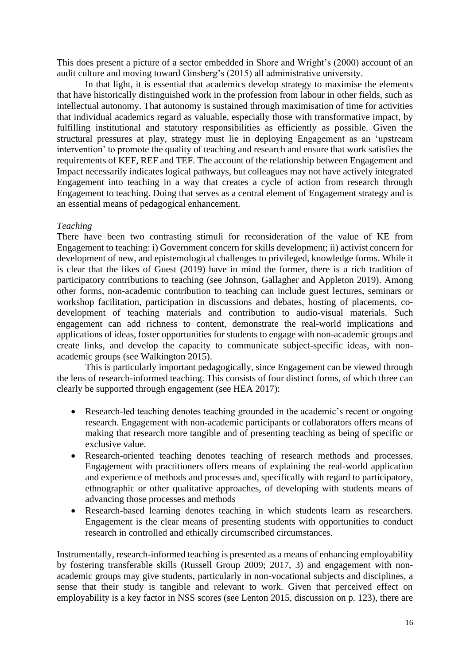This does present a picture of a sector embedded in Shore and Wright's (2000) account of an audit culture and moving toward Ginsberg's (2015) all administrative university.

In that light, it is essential that academics develop strategy to maximise the elements that have historically distinguished work in the profession from labour in other fields, such as intellectual autonomy. That autonomy is sustained through maximisation of time for activities that individual academics regard as valuable, especially those with transformative impact, by fulfilling institutional and statutory responsibilities as efficiently as possible. Given the structural pressures at play, strategy must lie in deploying Engagement as an 'upstream intervention' to promote the quality of teaching and research and ensure that work satisfies the requirements of KEF, REF and TEF. The account of the relationship between Engagement and Impact necessarily indicates logical pathways, but colleagues may not have actively integrated Engagement into teaching in a way that creates a cycle of action from research through Engagement to teaching. Doing that serves as a central element of Engagement strategy and is an essential means of pedagogical enhancement.

# *Teaching*

There have been two contrasting stimuli for reconsideration of the value of KE from Engagement to teaching: i) Government concern for skills development; ii) activist concern for development of new, and epistemological challenges to privileged, knowledge forms. While it is clear that the likes of Guest (2019) have in mind the former, there is a rich tradition of participatory contributions to teaching (see Johnson, Gallagher and Appleton 2019). Among other forms, non-academic contribution to teaching can include guest lectures, seminars or workshop facilitation, participation in discussions and debates, hosting of placements, codevelopment of teaching materials and contribution to audio-visual materials. Such engagement can add richness to content, demonstrate the real-world implications and applications of ideas, foster opportunities for students to engage with non-academic groups and create links, and develop the capacity to communicate subject-specific ideas, with nonacademic groups (see Walkington 2015).

This is particularly important pedagogically, since Engagement can be viewed through the lens of research-informed teaching. This consists of four distinct forms, of which three can clearly be supported through engagement (see HEA 2017):

- Research-led teaching denotes teaching grounded in the academic's recent or ongoing research. Engagement with non-academic participants or collaborators offers means of making that research more tangible and of presenting teaching as being of specific or exclusive value.
- Research-oriented teaching denotes teaching of research methods and processes. Engagement with practitioners offers means of explaining the real-world application and experience of methods and processes and, specifically with regard to participatory, ethnographic or other qualitative approaches, of developing with students means of advancing those processes and methods
- Research-based learning denotes teaching in which students learn as researchers. Engagement is the clear means of presenting students with opportunities to conduct research in controlled and ethically circumscribed circumstances.

Instrumentally, research-informed teaching is presented as a means of enhancing employability by fostering transferable skills (Russell Group 2009; 2017, 3) and engagement with nonacademic groups may give students, particularly in non-vocational subjects and disciplines, a sense that their study is tangible and relevant to work. Given that perceived effect on employability is a key factor in NSS scores (see Lenton 2015, discussion on p. 123), there are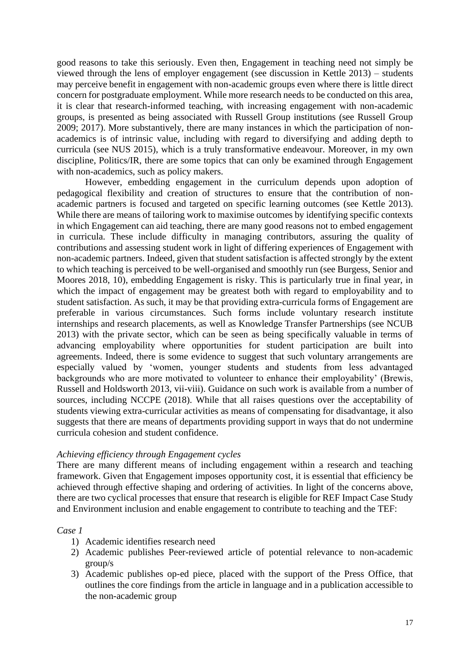good reasons to take this seriously. Even then, Engagement in teaching need not simply be viewed through the lens of employer engagement (see discussion in Kettle 2013) – students may perceive benefit in engagement with non-academic groups even where there is little direct concern for postgraduate employment. While more research needs to be conducted on this area, it is clear that research-informed teaching, with increasing engagement with non-academic groups, is presented as being associated with Russell Group institutions (see Russell Group 2009; 2017). More substantively, there are many instances in which the participation of nonacademics is of intrinsic value, including with regard to diversifying and adding depth to curricula (see NUS 2015), which is a truly transformative endeavour. Moreover, in my own discipline, Politics/IR, there are some topics that can only be examined through Engagement with non-academics, such as policy makers.

However, embedding engagement in the curriculum depends upon adoption of pedagogical flexibility and creation of structures to ensure that the contribution of nonacademic partners is focused and targeted on specific learning outcomes (see Kettle 2013). While there are means of tailoring work to maximise outcomes by identifying specific contexts in which Engagement can aid teaching, there are many good reasons not to embed engagement in curricula. These include difficulty in managing contributors, assuring the quality of contributions and assessing student work in light of differing experiences of Engagement with non-academic partners. Indeed, given that student satisfaction is affected strongly by the extent to which teaching is perceived to be well-organised and smoothly run (see Burgess, Senior and Moores 2018, 10), embedding Engagement is risky. This is particularly true in final year, in which the impact of engagement may be greatest both with regard to employability and to student satisfaction. As such, it may be that providing extra-curricula forms of Engagement are preferable in various circumstances. Such forms include voluntary research institute internships and research placements, as well as Knowledge Transfer Partnerships (see NCUB 2013) with the private sector, which can be seen as being specifically valuable in terms of advancing employability where opportunities for student participation are built into agreements. Indeed, there is some evidence to suggest that such voluntary arrangements are especially valued by 'women, younger students and students from less advantaged backgrounds who are more motivated to volunteer to enhance their employability' (Brewis, Russell and Holdsworth 2013, vii-viii). Guidance on such work is available from a number of sources, including NCCPE (2018). While that all raises questions over the acceptability of students viewing extra-curricular activities as means of compensating for disadvantage, it also suggests that there are means of departments providing support in ways that do not undermine curricula cohesion and student confidence.

# *Achieving efficiency through Engagement cycles*

There are many different means of including engagement within a research and teaching framework. Given that Engagement imposes opportunity cost, it is essential that efficiency be achieved through effective shaping and ordering of activities. In light of the concerns above, there are two cyclical processes that ensure that research is eligible for REF Impact Case Study and Environment inclusion and enable engagement to contribute to teaching and the TEF:

# *Case 1*

- 1) Academic identifies research need
- 2) Academic publishes Peer-reviewed article of potential relevance to non-academic group/s
- 3) Academic publishes op-ed piece, placed with the support of the Press Office, that outlines the core findings from the article in language and in a publication accessible to the non-academic group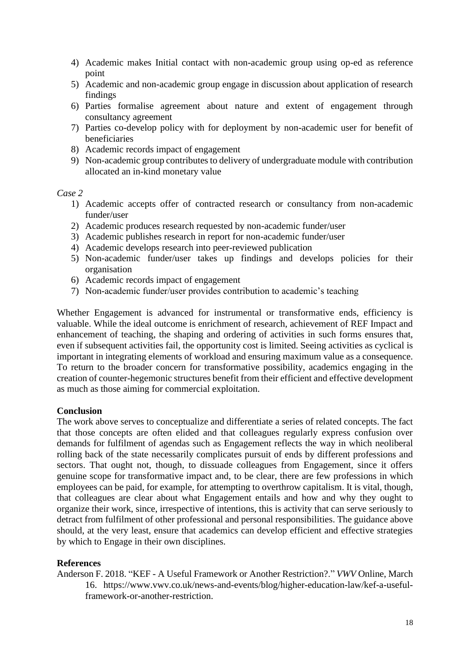- 4) Academic makes Initial contact with non-academic group using op-ed as reference point
- 5) Academic and non-academic group engage in discussion about application of research findings
- 6) Parties formalise agreement about nature and extent of engagement through consultancy agreement
- 7) Parties co-develop policy with for deployment by non-academic user for benefit of beneficiaries
- 8) Academic records impact of engagement
- 9) Non-academic group contributes to delivery of undergraduate module with contribution allocated an in-kind monetary value

# *Case 2*

- 1) Academic accepts offer of contracted research or consultancy from non-academic funder/user
- 2) Academic produces research requested by non-academic funder/user
- 3) Academic publishes research in report for non-academic funder/user
- 4) Academic develops research into peer-reviewed publication
- 5) Non-academic funder/user takes up findings and develops policies for their organisation
- 6) Academic records impact of engagement
- 7) Non-academic funder/user provides contribution to academic's teaching

Whether Engagement is advanced for instrumental or transformative ends, efficiency is valuable. While the ideal outcome is enrichment of research, achievement of REF Impact and enhancement of teaching, the shaping and ordering of activities in such forms ensures that, even if subsequent activities fail, the opportunity cost is limited. Seeing activities as cyclical is important in integrating elements of workload and ensuring maximum value as a consequence. To return to the broader concern for transformative possibility, academics engaging in the creation of counter-hegemonic structures benefit from their efficient and effective development as much as those aiming for commercial exploitation.

# **Conclusion**

The work above serves to conceptualize and differentiate a series of related concepts. The fact that those concepts are often elided and that colleagues regularly express confusion over demands for fulfilment of agendas such as Engagement reflects the way in which neoliberal rolling back of the state necessarily complicates pursuit of ends by different professions and sectors. That ought not, though, to dissuade colleagues from Engagement, since it offers genuine scope for transformative impact and, to be clear, there are few professions in which employees can be paid, for example, for attempting to overthrow capitalism. It is vital, though, that colleagues are clear about what Engagement entails and how and why they ought to organize their work, since, irrespective of intentions, this is activity that can serve seriously to detract from fulfilment of other professional and personal responsibilities. The guidance above should, at the very least, ensure that academics can develop efficient and effective strategies by which to Engage in their own disciplines.

# **References**

Anderson F. 2018. "KEF - A Useful Framework or Another Restriction?." *VWV* Online, March 16. https://www.vwv.co.uk/news-and-events/blog/higher-education-law/kef-a-usefulframework-or-another-restriction.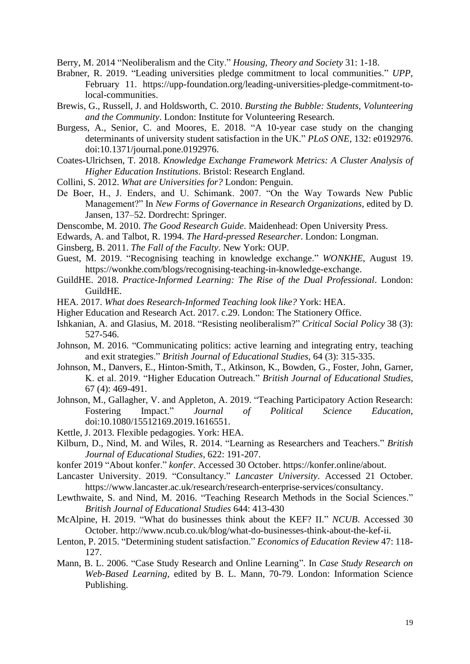Berry, M. 2014 "Neoliberalism and the City." *Housing, Theory and Society* 31: 1-18.

- Brabner, R. 2019. "Leading universities pledge commitment to local communities." *UPP*, February 11. https://upp-foundation.org/leading-universities-pledge-commitment-tolocal-communities.
- Brewis, G., Russell, J. and Holdsworth, C. 2010. *Bursting the Bubble: Students, Volunteering and the Community*. London: Institute for Volunteering Research.
- Burgess, A., Senior, C. and Moores, E. 2018. "A 10-year case study on the changing determinants of university student satisfaction in the UK." *PLoS ONE*, 132: e0192976. doi:10.1371/journal.pone.0192976.
- Coates-Ulrichsen, T. 2018. *Knowledge Exchange Framework Metrics: A Cluster Analysis of Higher Education Institutions*. Bristol: Research England.
- Collini, S. 2012. *What are Universities for?* London: Penguin.
- De Boer, H., J. Enders, and U. Schimank. 2007. "On the Way Towards New Public Management?" In *New Forms of Governance in Research Organizations*, edited by D. Jansen, 137–52. Dordrecht: Springer.
- Denscombe, M. 2010. *The Good Research Guide*. Maidenhead: Open University Press.
- Edwards, A. and Talbot, R. 1994. *The Hard-pressed Researcher*. London: Longman.
- Ginsberg, B. 2011. *The Fall of the Faculty*. New York: OUP.
- Guest, M. 2019. "Recognising teaching in knowledge exchange." *WONKHE*, August 19. https://wonkhe.com/blogs/recognising-teaching-in-knowledge-exchange.
- GuildHE. 2018. *Practice-Informed Learning: The Rise of the Dual Professional*. London: GuildHE.
- HEA. 2017. *What does Research-Informed Teaching look like?* York: HEA.
- Higher Education and Research Act. 2017. c.29. London: The Stationery Office.
- Ishkanian, A. and Glasius, M. 2018. "Resisting neoliberalism?" *Critical Social Policy* 38 (3): 527-546.
- Johnson, M. 2016. "Communicating politics: active learning and integrating entry, teaching and exit strategies." *British Journal of Educational Studies*, 64 (3): 315-335.
- Johnson, M., Danvers, E., Hinton-Smith, T., Atkinson, K., Bowden, G., Foster, John, Garner, K. et al. 2019. "Higher Education Outreach." *British Journal of Educational Studies*, 67 (4): 469-491.
- Johnson, M., Gallagher, V. and Appleton, A. 2019. "Teaching Participatory Action Research: Fostering Impact." *Journal of Political Science Education*, doi:10.1080/15512169.2019.1616551.
- Kettle, J. 2013. Flexible pedagogies. York: HEA.
- Kilburn, D., Nind, M. and Wiles, R. 2014. "Learning as Researchers and Teachers." *British Journal of Educational Studies*, 622: 191-207.
- konfer 2019 "About konfer." *konfer*. Accessed 30 October. https://konfer.online/about.
- Lancaster University. 2019. "Consultancy." *Lancaster University*. Accessed 21 October. https://www.lancaster.ac.uk/research/research-enterprise-services/consultancy.
- Lewthwaite, S. and Nind, M. 2016. "Teaching Research Methods in the Social Sciences." *British Journal of Educational Studies* 644: 413-430
- McAlpine, H. 2019. "What do businesses think about the KEF? II." *NCUB*. Accessed 30 October. http://www.ncub.co.uk/blog/what-do-businesses-think-about-the-kef-ii.
- Lenton, P. 2015. "Determining student satisfaction." *Economics of Education Review* 47: 118- 127.
- Mann, B. L. 2006. "Case Study Research and Online Learning". In *Case Study Research on Web-Based Learning*, edited by B. L. Mann, 70-79. London: Information Science Publishing.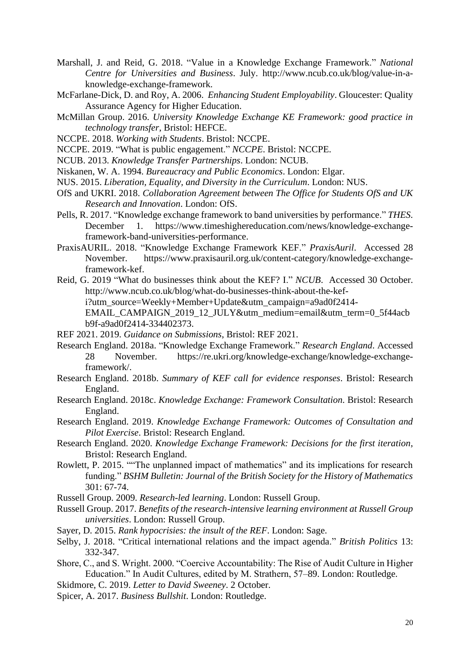- Marshall, J. and Reid, G. 2018. "Value in a Knowledge Exchange Framework." *National Centre for Universities and Business*. July. http://www.ncub.co.uk/blog/value-in-aknowledge-exchange-framework.
- McFarlane-Dick, D. and Roy, A. 2006. *Enhancing Student Employability*. Gloucester: Quality Assurance Agency for Higher Education.
- McMillan Group. 2016. *University Knowledge Exchange KE Framework: good practice in technology transfer*, Bristol: HEFCE.
- NCCPE. 2018. *Working with Students*. Bristol: NCCPE.
- NCCPE. 2019. "What is public engagement." *NCCPE*. Bristol: NCCPE.
- NCUB. 2013. *Knowledge Transfer Partnerships*. London: NCUB.
- Niskanen, W. A. 1994. *Bureaucracy and Public Economics*. London: Elgar.
- NUS. 2015. *Liberation, Equality, and Diversity in the Curriculum*. London: NUS.
- OfS and UKRI. 2018. *Collaboration Agreement between The Office for Students OfS and UK Research and Innovation*. London: OfS.
- Pells, R. 2017. "Knowledge exchange framework to band universities by performance." *THES*. December 1. https://www.timeshighereducation.com/news/knowledge-exchangeframework-band-universities-performance.
- PraxisAURIL. 2018. "Knowledge Exchange Framework KEF." *PraxisAuril*. Accessed 28 November. https://www.praxisauril.org.uk/content-category/knowledge-exchangeframework-kef.
- Reid, G. 2019 "What do businesses think about the KEF? I." *NCUB*. Accessed 30 October. http://www.ncub.co.uk/blog/what-do-businesses-think-about-the-kefi?utm\_source=Weekly+Member+Update&utm\_campaign=a9ad0f2414- EMAIL\_CAMPAIGN\_2019\_12\_JULY&utm\_medium=email&utm\_term=0\_5f44acb b9f-a9ad0f2414-334402373.
- REF 2021. 2019. *Guidance on Submissions*, Bristol: REF 2021.
- Research England. 2018a. "Knowledge Exchange Framework." *Research England*. Accessed 28 November. https://re.ukri.org/knowledge-exchange/knowledge-exchangeframework/.
- Research England. 2018b. *Summary of KEF call for evidence responses*. Bristol: Research England.
- Research England. 2018c. *Knowledge Exchange: Framework Consultation*. Bristol: Research England.
- Research England. 2019. *Knowledge Exchange Framework: Outcomes of Consultation and Pilot Exercise*. Bristol: Research England.
- Research England. 2020. *Knowledge Exchange Framework: Decisions for the first iteration*, Bristol: Research England.
- Rowlett, P. 2015. ""The unplanned impact of mathematics" and its implications for research funding." *BSHM Bulletin: Journal of the British Society for the History of Mathematics* 301: 67-74.
- Russell Group. 2009. *Research-led learning*. London: Russell Group.
- Russell Group. 2017. *Benefits of the research-intensive learning environment at Russell Group universities*. London: Russell Group.
- Sayer, D. 2015. *Rank hypocrisies: the insult of the REF*. London: Sage.
- Selby, J. 2018. "Critical international relations and the impact agenda." *British Politics* 13: 332-347.
- Shore, C., and S. Wright. 2000. "Coercive Accountability: The Rise of Audit Culture in Higher Education." In Audit Cultures, edited by M. Strathern, 57–89. London: Routledge.
- Skidmore, C. 2019. *Letter to David Sweeney*. 2 October.
- Spicer, A. 2017. *Business Bullshit*. London: Routledge.